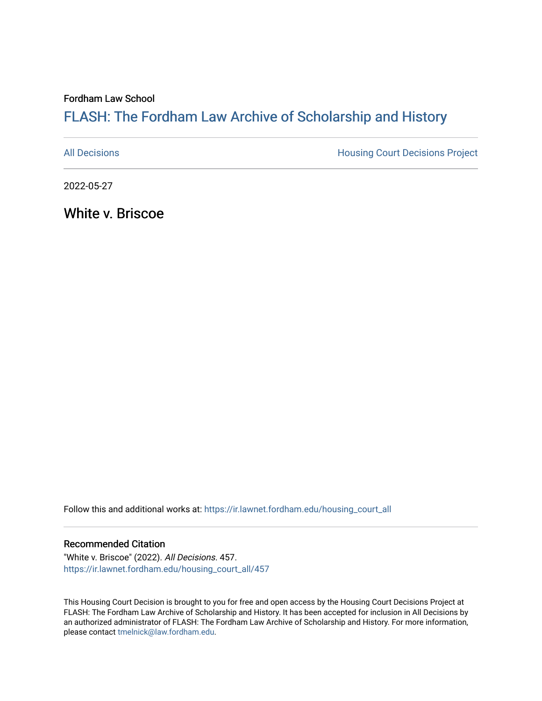Fordham Law School

# FLASH: The For[dham Law Archive of Scholarship and Hist](https://ir.lawnet.fordham.edu/)ory

[All Decisions](https://ir.lawnet.fordham.edu/housing_court_all) **All Decisions All Decisions** Project

2022-05-27

White v. Briscoe

Follow this and additional works at: [https://ir.lawnet.fordham.edu/housing\\_court\\_all](https://ir.lawnet.fordham.edu/housing_court_all?utm_source=ir.lawnet.fordham.edu%2Fhousing_court_all%2F457&utm_medium=PDF&utm_campaign=PDFCoverPages)

#### Recommended Citation

"White v. Briscoe" (2022). All Decisions. 457. [https://ir.lawnet.fordham.edu/housing\\_court\\_all/457](https://ir.lawnet.fordham.edu/housing_court_all/457?utm_source=ir.lawnet.fordham.edu%2Fhousing_court_all%2F457&utm_medium=PDF&utm_campaign=PDFCoverPages)

This Housing Court Decision is brought to you for free and open access by the Housing Court Decisions Project at FLASH: The Fordham Law Archive of Scholarship and History. It has been accepted for inclusion in All Decisions by an authorized administrator of FLASH: The Fordham Law Archive of Scholarship and History. For more information, please contact [tmelnick@law.fordham.edu](mailto:tmelnick@law.fordham.edu).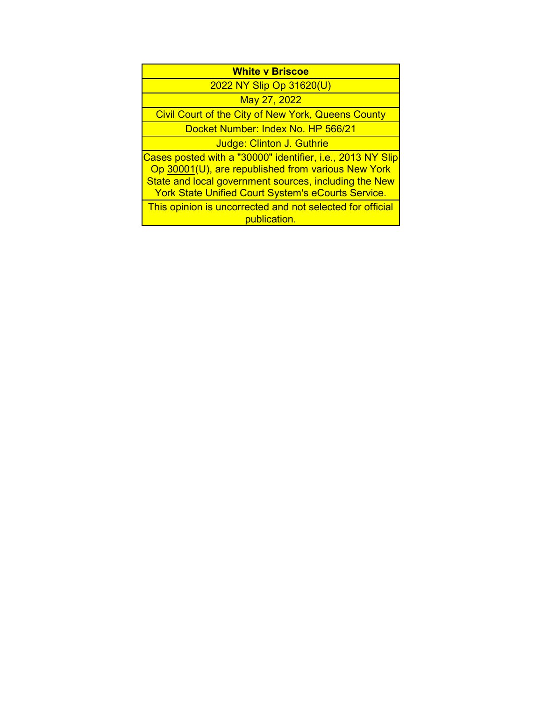| <b>White v Briscoe</b>                                                                                                                                                                                                                 |
|----------------------------------------------------------------------------------------------------------------------------------------------------------------------------------------------------------------------------------------|
| 2022 NY Slip Op 31620(U)                                                                                                                                                                                                               |
| May 27, 2022                                                                                                                                                                                                                           |
| Civil Court of the City of New York, Queens County                                                                                                                                                                                     |
| Docket Number: Index No. HP 566/21                                                                                                                                                                                                     |
| Judge: Clinton J. Guthrie                                                                                                                                                                                                              |
| Cases posted with a "30000" identifier, i.e., 2013 NY Slip<br>Op 30001(U), are republished from various New York<br>State and local government sources, including the New<br><b>York State Unified Court System's eCourts Service.</b> |
| This opinion is uncorrected and not selected for official<br>publication.                                                                                                                                                              |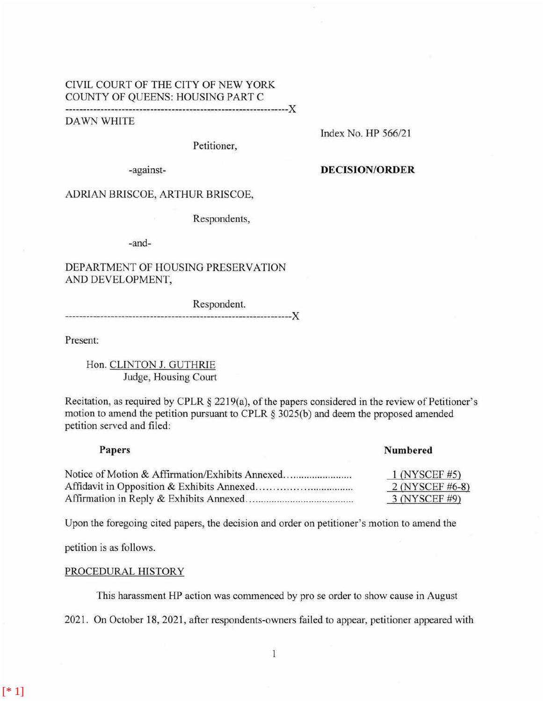### CIVIL COURT OF THE CITY OF NEW YORK COUNTY OF QUEENS: HOUSING PART C ---------------------------------------------------------------)(

DAWN WHITE

Petitioner,

Index No. HP 566/21

-against- **DECISION/ORDER** 

# ADRIAN BRISCOE, ARTHUR BRISCOE,

Respondents,

-and-

# DEPARTMENT OF HOUSING PRESERVATION AND DEVELOPMENT,

Respondent. ----------------------------------------------------------------)(

Present:

Hon. CLINTON J. GUTHRIE Judge, Housing Court

Recitation, as required by CPLR § 2219(a), of the papers considered in the review of Petitioner's motion to amend the petition pursuant to CPLR § 3025(b) and deem the proposed amended petition served and filed:

| Numbered        |
|-----------------|
| $1$ (NYSCEF #5) |
| 2 (NYSCEF #6-8) |
| 3 (NYSCEF #9)   |
|                 |

Upon the foregoing cited papers, the decision and order on petitioner's motion to amend the

petition is as follows.

#### PROCEDURAL HISTORY

This harassment HP action was commenced by pro se order to show cause in August

2021. On October 18, 2021, after respondents-owners failed to appear, petitioner appeared with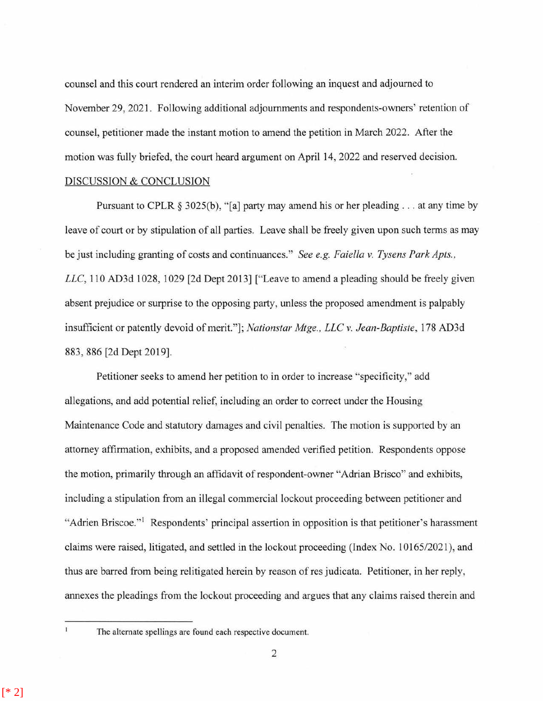counsel and this court rendered an interim order following an inquest and adjourned to November 29, 2021. Following additional adjournments and respondents-owners' retention of counsel, petitioner made the instant motion to amend the petition in March 2022. After the motion was fully briefed, the court heard argument on April 14, 2022 and reserved decision.

## DISCUSSION & CONCLUSION

Pursuant to CPLR  $\S 3025(b)$ , "[a] party may amend his or her pleading ... at any time by leave of court or by stipulation of all parties. Leave shall be freely given upon such terms as may be just including granting of costs and continuances." *See e.g. Faiella v. Tysens Park Apts., LLC,* 110 AD3d 1028, 1029 [2d Dept 2013] ["Leave to amend a pleading should be freely given absent prejudice or surprise to the opposing party, unless the proposed amendment is palpably insufficient or patently devoid of merit."]; *Nationstar Mtge., LLC v. Jean-Baptiste,* 178 AD3d 883, 886 [2d Dept 2019].

Petitioner seeks to amend her petition to in order to increase "specificity," add allegations, and add potential relief, including an order to correct under the Housing Maintenance Code and statutory damages and civil penalties. The motion is supported by an attorney affirmation, exhibits, and a proposed amended verified petition. Respondents oppose the motion, primarily through an affidavit of respondent-owner "Adrian Brisco" and exhibits, including a stipulation from an illegal commercial lockout proceeding between petitioner and "Adrien Briscoe."<sup>1</sup> Respondents' principal assertion in opposition is that petitioner's harassment claims were raised, litigated, and settled in the lockout proceeding (Index No. 10165/2021 ), and thus are barred from being relitigated herein by reason of res judicata. Petitioner, in her reply, annexes the pleadings from the lockout proceeding and argues that any claims raised therein and

 $\mathbf{I}$ 

The alternate spellings are found each respective document.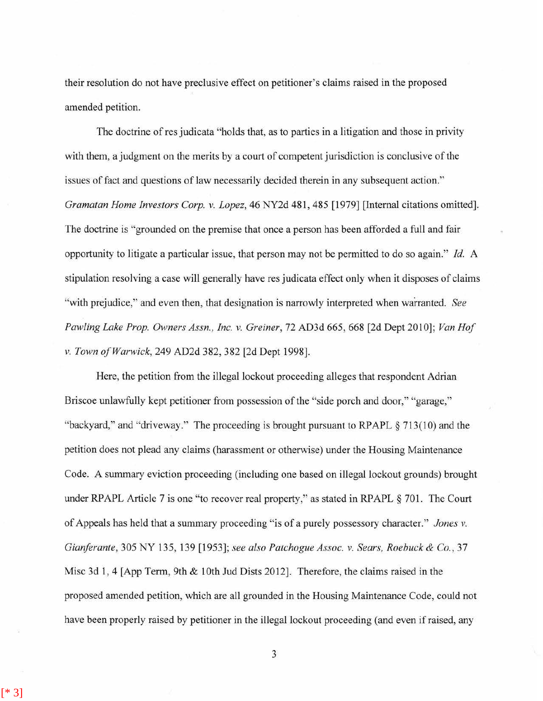their resolution do not have preclusive effect on petitioner's claims raised in the proposed amended petition.

The doctrine of res judicata "holds that, as to parties in a litigation and those in privity with them, a judgment on the merits by a court of competent jurisdiction is conclusive of the issues of fact and questions of law necessarily decided therein in any subsequent action." *Gramatan Home Investors Corp. v. Lopez,* 46 NY2d 481, 485 [1979] [Internal citations omitted]. The doctrine is "grounded on the premise that once a person has been afforded a full and fair opportunity to litigate a particular issue, that person may not be permitted to do so again." *Id.* A stipulation resolving a case will generally have res judicata effect only when it disposes of claims "with prejudice," and even then, that designation is narrowly interpreted when warranted. *See Pawling Lake Prop. Owners Assn., Inc. v. Greiner, 72 AD3d 665, 668 [2d Dept 2010]; Van Hof v. Town of Warwick,* 249 AD2d 382, 382 [2d Dept 1998].

Here, the petition from the illegal lockout proceeding alleges that respondent Adrian Briscoe unlawfully kept petitioner from possession of the "side porch and door," "garage," "backyard," and "driveway." The proceeding is brought pursuant to RPAPL  $\S 713(10)$  and the petition does not plead any claims (harassment or otherwise) under the Housing Maintenance Code. A summary eviction proceeding (including one based on illegal lockout grounds) brought under RPAPL Article 7 is one "to recover real property," as stated in RPAPL § 701. The Court of Appeals has held that a summary proceeding " is of a purely possessory character." *Jones v. Gianferante, 305 NY 135, 139 [1953]; see also Patchogue Assoc. v. Sears, Roebuck & Co., 37* Misc 3d 1, 4 [App Term, 9th & 10th Jud Dists 2012]. Therefore, the claims raised in the proposed amended petition, which are all grounded in the Housing Maintenance Code, could not have been properly raised by petitioner in the illegal lockout proceeding (and even if raised, any

3

[\* 3]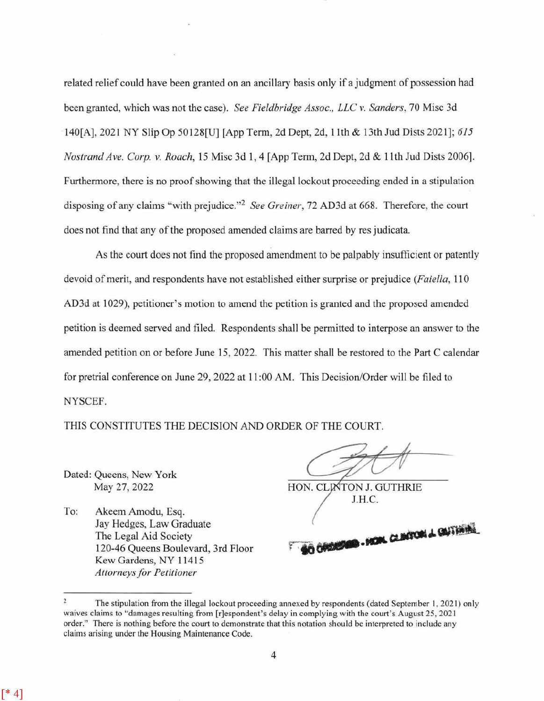related relief could have been granted on an ancillary basis onJy if a judgment of possession had been granted, which was not the case). *See Fieldbridge Assoc., LLC* v. *Sanders,* 70 Misc 3d 140[A], 2021 NY Slip Op 50128[U] [App Term, 2d Dept, 2d, 1 lth & 13th Jud Dists 2021]; *615 Nostrand Ave. Corp. v. Roach,* 15 Misc 3d 1, 4 [App Term, 2d Dept, 2d & 11th Jud Dists 2006]. Furthermore, there is no proof showing that the illegal lockout proceeding ended in a stipulation disposing of any claims "with prejudice."2 *See Greiner,* 72 AD3d at 668. Therefore, the court does not find that any of the proposed amended claims are barred by res judicata.

As the court does not find the proposed amendment to be palpably insufficient or patently devoid of merit, and respondents have not established either surprise or prejudice *(Faiella,* 110 AD3d at 1029), petitioner's motion to amend the petition is granted and the proposed amended petition is deemed served and filed. Respondents shall be permitted to interpose an answer to the amended petition on or before June 15, 2022. This matter shall be restored to the Part C calendar for pretrial conference on June 29, 2022 at 11 :00 AM. This Decision/Order will be filed to NYSCEF.

THIS CONSTITUTES THE DECISION AND ORDER OF THE COURT.

Dated: Queens, New York May 27, 2022

 $[* 4]$ 

To: Akeem Amodu, Esq. Jay Hedges, Law Graduate The Legal Aid Society 120-46 Queens Boulevard, 3rd Floor Kew Gardens, NY 11415 *Attorneys for Petitioner* 

HON. CLINTON J. GUTHRIE J.H.C.

O CARDIDIDED. HOM. CLINTON & GUTHINA

The stipulation from the illegal lockout proceeding annexed by respondents (dated September I, 2021) only waives claims to "damages resulting from [r]espondent's delay in complying with the court's August 25, 2021 order." There is nothing before the court to demonstrate that this notation should be interpreted to include any claims arising under the Housing Maintenance Code.